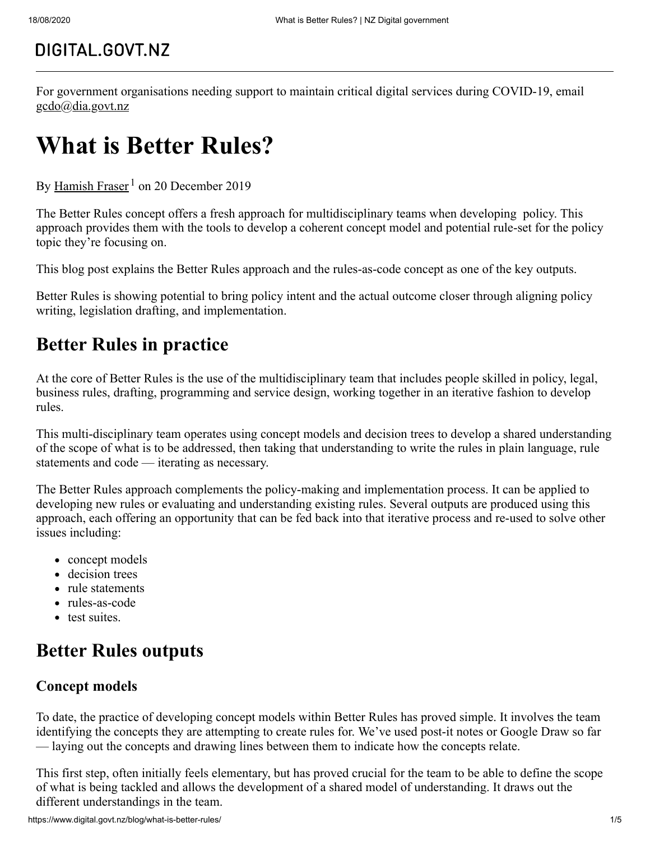## DIGITAL.GOVT.NZ

For government organisations needing support to maintain critical digital services during COVID-19, email [gcdo@dia.govt.nz](mailto:gcdo@dia.govt.nz)

# **What is Better Rules?**

By [Hamish Fraser](https://www.digital.govt.nz/blog/profile/hamish-fraser)<sup>1</sup> on 20 December 2019

The Better Rules concept offers a fresh approach for multidisciplinary teams when developing policy. This approach provides them with the tools to develop a coherent concept model and potential rule-set for the policy topic they're focusing on.

This blog post explains the Better Rules approach and the rules-as-code concept as one of the key outputs.

Better Rules is showing potential to bring policy intent and the actual outcome closer through aligning policy writing, legislation drafting, and implementation.

### **Better Rules in practice**

At the core of Better Rules is the use of the multidisciplinary team that includes people skilled in policy, legal, business rules, drafting, programming and service design, working together in an iterative fashion to develop rules.

This multi-disciplinary team operates using concept models and decision trees to develop a shared understanding of the scope of what is to be addressed, then taking that understanding to write the rules in plain language, rule statements and code — iterating as necessary.

The Better Rules approach complements the policy-making and implementation process. It can be applied to developing new rules or evaluating and understanding existing rules. Several outputs are produced using this approach, each offering an opportunity that can be fed back into that iterative process and re-used to solve other issues including:

- concept models
- decision trees
- rule statements
- rules-as-code
- test suites.

## **Better Rules outputs**

#### **Concept models**

To date, the practice of developing concept models within Better Rules has proved simple. It involves the team identifying the concepts they are attempting to create rules for. We've used post-it notes or Google Draw so far — laying out the concepts and drawing lines between them to indicate how the concepts relate.

This first step, often initially feels elementary, but has proved crucial for the team to be able to define the scope of what is being tackled and allows the development of a shared model of understanding. It draws out the different understandings in the team.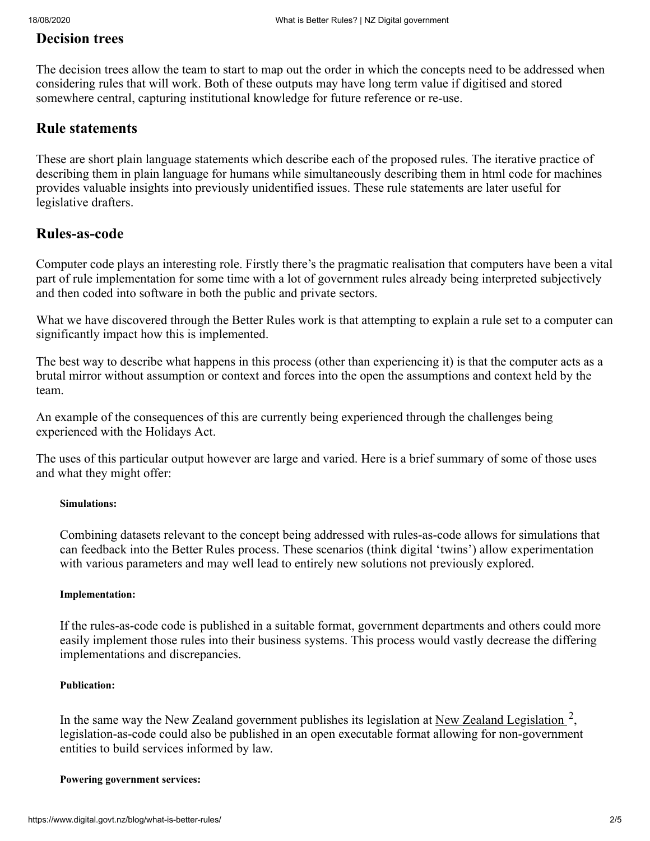#### **Decision trees**

The decision trees allow the team to start to map out the order in which the concepts need to be addressed when considering rules that will work. Both of these outputs may have long term value if digitised and stored somewhere central, capturing institutional knowledge for future reference or re-use.

#### **Rule statements**

These are short plain language statements which describe each of the proposed rules. The iterative practice of describing them in plain language for humans while simultaneously describing them in html code for machines provides valuable insights into previously unidentified issues. These rule statements are later useful for legislative drafters.

#### **Rules-as-code**

Computer code plays an interesting role. Firstly there's the pragmatic realisation that computers have been a vital part of rule implementation for some time with a lot of government rules already being interpreted subjectively and then coded into software in both the public and private sectors.

What we have discovered through the Better Rules work is that attempting to explain a rule set to a computer can significantly impact how this is implemented.

The best way to describe what happens in this process (other than experiencing it) is that the computer acts as a brutal mirror without assumption or context and forces into the open the assumptions and context held by the team.

An example of the consequences of this are currently being experienced through the challenges being experienced with the Holidays Act.

The uses of this particular output however are large and varied. Here is a brief summary of some of those uses and what they might offer:

#### **Simulations:**

Combining datasets relevant to the concept being addressed with rules-as-code allows for simulations that can feedback into the Better Rules process. These scenarios (think digital 'twins') allow experimentation with various parameters and may well lead to entirely new solutions not previously explored.

#### **Implementation:**

If the rules-as-code code is published in a suitable format, government departments and others could more easily implement those rules into their business systems. This process would vastly decrease the differing implementations and discrepancies.

#### **Publication:**

In the same way the New Zealand government publishes its legislation at [New Zealand Legislation](http://www.legislation.govt.nz/)  $2$ , legislation-as-code could also be published in an open executable format allowing for non-government entities to build services informed by law.

#### **Powering government services:**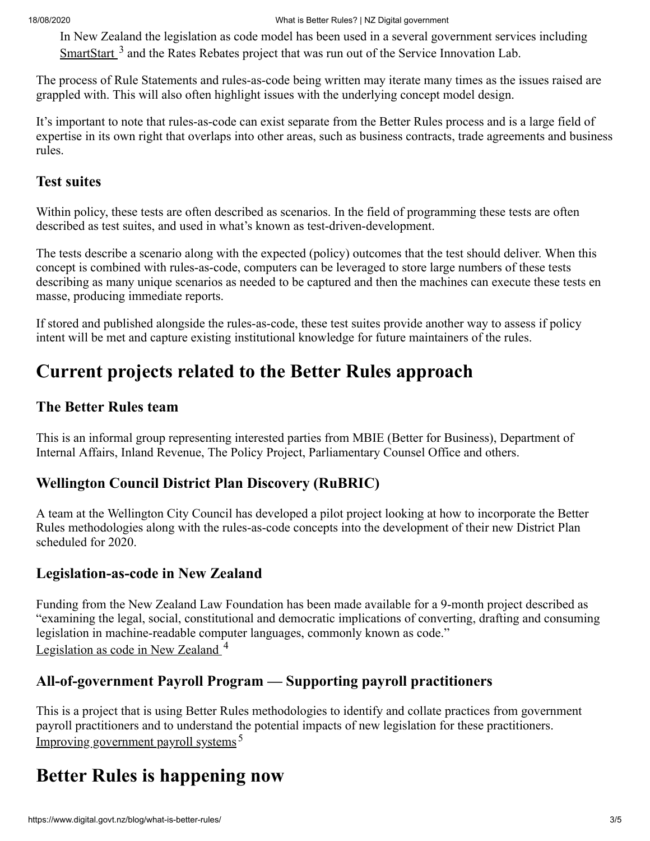#### 18/08/2020 What is Better Rules? | NZ Digital government

In New Zealand the legislation as code model has been used in a several government services including  $S$ martStart  $^3$  and the Rates Rebates project that was run out of the Service Innovation Lab.

The process of Rule Statements and rules-as-code being written may iterate many times as the issues raised are grappled with. This will also often highlight issues with the underlying concept model design.

It's important to note that rules-as-code can exist separate from the Better Rules process and is a large field of expertise in its own right that overlaps into other areas, such as business contracts, trade agreements and business rules.

#### **Test suites**

Within policy, these tests are often described as scenarios. In the field of programming these tests are often described as test suites, and used in what's known as test-driven-development.

The tests describe a scenario along with the expected (policy) outcomes that the test should deliver. When this concept is combined with rules-as-code, computers can be leveraged to store large numbers of these tests describing as many unique scenarios as needed to be captured and then the machines can execute these tests en masse, producing immediate reports.

If stored and published alongside the rules-as-code, these test suites provide another way to assess if policy intent will be met and capture existing institutional knowledge for future maintainers of the rules.

## **Current projects related to the Better Rules approach**

#### **The Better Rules team**

This is an informal group representing interested parties from MBIE (Better for Business), Department of Internal Affairs, Inland Revenue, The Policy Project, Parliamentary Counsel Office and others.

### **Wellington Council District Plan Discovery (RuBRIC)**

A team at the Wellington City Council has developed a pilot project looking at how to incorporate the Better Rules methodologies along with the rules-as-code concepts into the development of their new District Plan scheduled for 2020.

### **Legislation-as-code in New Zealand**

Funding from the New Zealand Law Foundation has been made available for a 9-month project described as "examining the legal, social, constitutional and democratic implications of converting, drafting and consuming legislation in machine-readable computer languages, commonly known as code." [Legislation as code in New Zealand](https://www.brainbox.institute/legislation-as-code-in-new-zealand)  $4$ 

### **All-of-government Payroll Program — Supporting payroll practitioners**

This is a project that is using Better Rules methodologies to identify and collate practices from government payroll practitioners and to understand the potential impacts of new legislation for these practitioners. [Improving government payroll systems](https://www.digital.govt.nz/digital-government/digital-transformation/improving-government-payroll-systems/) <sup>5</sup>

## **Better Rules is happening now**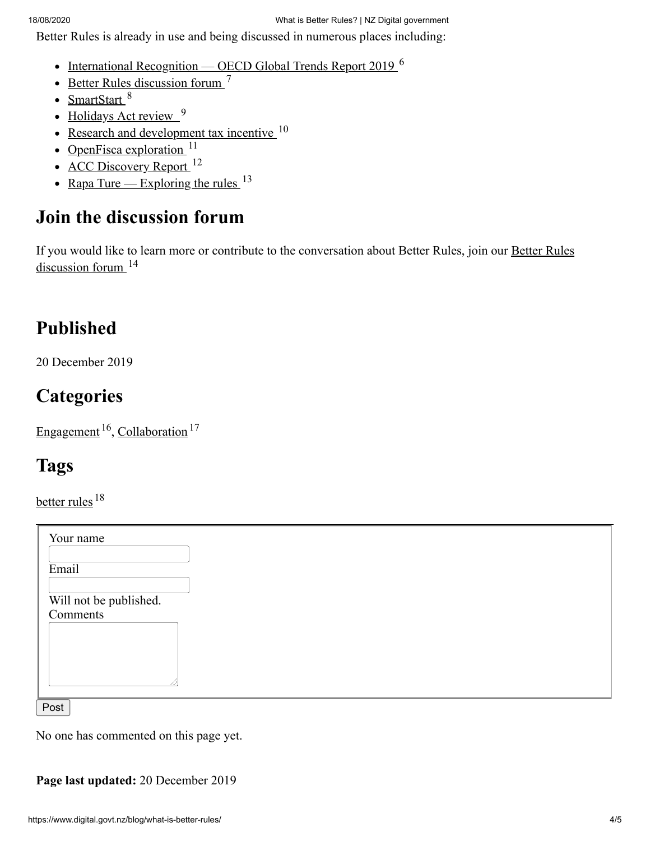Better Rules is already in use and being discussed in numerous places including:

- [International Recognition OECD Global Trends Report 2019](https://www.oecd.org/gov/embracing-innovation-in-government-global-trends-2019.htm)  $^6$
- [Better Rules discussion forum](https://discuss.digital.govt.nz/betterrules)  $<sup>7</sup>$ </sup>
- [SmartStart](https://smartstart.services.govt.nz/) 8
- [Holidays Act review](https://www.mbie.govt.nz/business-and-employment/employment-and-skills/employment-legislation-reviews/holidays-act-review/) 9
- [Research and development tax incentive](https://www.mbie.govt.nz/science-and-technology/science-and-innovation/funding-information-and-opportunities/r-d-tax-incentive/)  $10$
- [OpenFisca exploration](https://github.com/ServiceInnovationLab/openfisca-aotearoa)  $11$
- [ACC Discovery Report](https://serviceinnovationlab.github.io/2019/07/01/ACC-Better-Rules-Collaboration/)  $12$
- <u>[Rapa Ture Exploring the rules](https://www.rules.nz/)</u>  $^{13}$

## **Join the discussion forum**

[If you would like to learn more or contribute to the conversation about Better Rules, join our Better Rules](https://discuss.digital.govt.nz/betterrules) discussion forum <sup>14</sup>

## **Published**

20 December 2019

## **Categories**

[Engagement](https://www.digital.govt.nz/blog/category/engagement)  $^{16}$ , [Collaboration](https://www.digital.govt.nz/blog/category/collaboration)  $^{17}$ 

## **Tags**

[better rules](https://www.digital.govt.nz/blog/tag/better-rules)<sup>18</sup>

| Your name                          |
|------------------------------------|
| Email                              |
| Will not be published.<br>Comments |
|                                    |
|                                    |

No one has commented on this page yet.

**Page last updated:** 20 December 2019